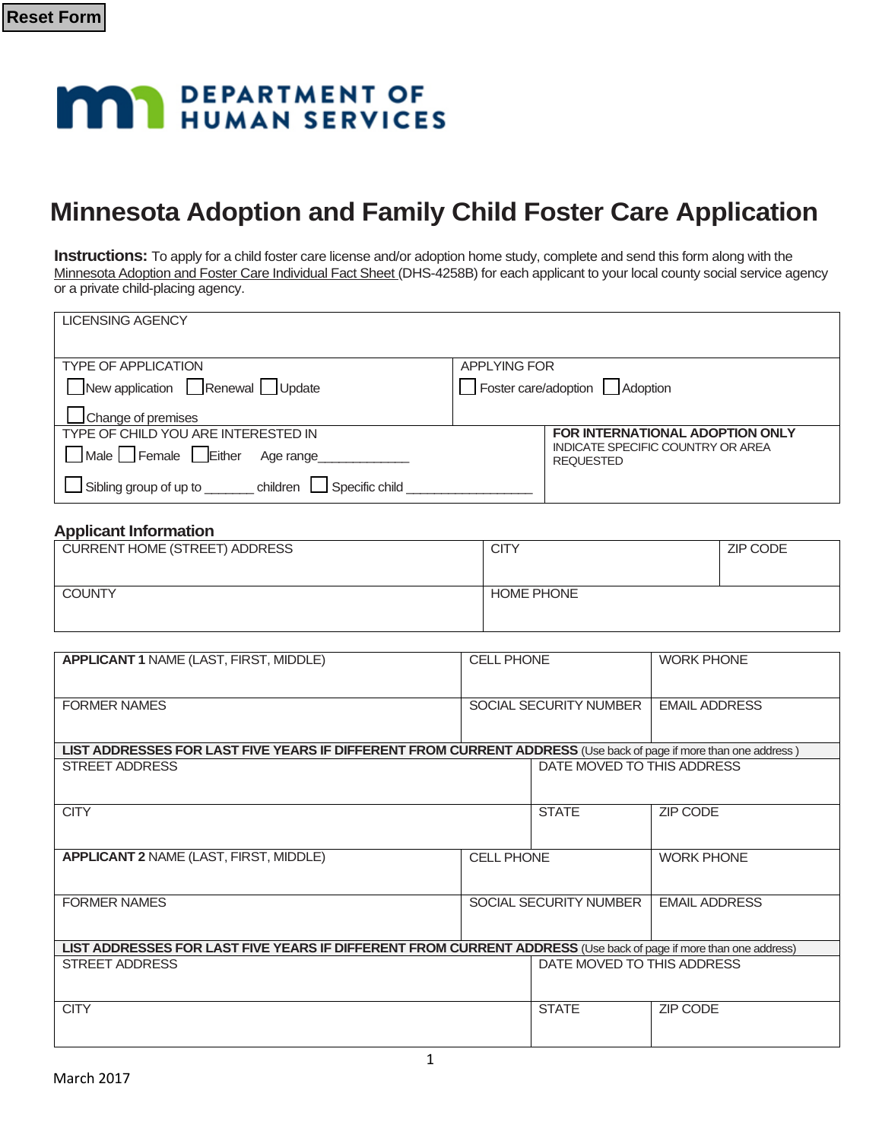# **MAY DEPARTMENT OF HUMAN SERVICES**

# **Minnesota Adoption and Family Child Foster Care Application**

**Instructions:** To apply for a child foster care license and/or adoption home study, complete and send this form along with the Minnesota Adoption and Foster Care Individual Fact Sheet (DHS-4258B) for each applicant to your local county social service agency or a private child-placing agency.

| <b>LICENSING AGENCY</b>                                |                                                       |
|--------------------------------------------------------|-------------------------------------------------------|
|                                                        |                                                       |
| <b>TYPE OF APPLICATION</b>                             | <b>APPLYING FOR</b>                                   |
| New application Renewal Update                         | Foster care/adoption   Adoption                       |
| Change of premises                                     |                                                       |
| TYPE OF CHILD YOU ARE INTERESTED IN                    | FOR INTERNATIONAL ADOPTION ONLY                       |
| Male Female Either<br>Age range                        | INDICATE SPECIFIC COUNTRY OR AREA<br><b>REQUESTED</b> |
| Sibling group of up to<br>children I<br>Specific child |                                                       |

#### **Applicant Information**

| <b>CITY</b>       | ZIP CODE |
|-------------------|----------|
|                   |          |
| <b>HOME PHONE</b> |          |
|                   |          |
|                   |          |

| <b>APPLICANT 1 NAME (LAST, FIRST, MIDDLE)</b>                                                                    | <b>CELL PHONE</b>             |                                                       | <b>WORK PHONE</b>    |
|------------------------------------------------------------------------------------------------------------------|-------------------------------|-------------------------------------------------------|----------------------|
| <b>FORMER NAMES</b>                                                                                              | <b>SOCIAL SECURITY NUMBER</b> |                                                       | <b>EMAIL ADDRESS</b> |
| LIST ADDRESSES FOR LAST FIVE YEARS IF DIFFERENT FROM CURRENT ADDRESS (Use back of page if more than one address) |                               |                                                       |                      |
| STREET ADDRESS                                                                                                   |                               | DATE MOVED TO THIS ADDRESS                            |                      |
| <b>CITY</b>                                                                                                      |                               | <b>STATE</b>                                          | <b>ZIP CODE</b>      |
| <b>APPLICANT 2 NAME (LAST, FIRST, MIDDLE)</b>                                                                    | <b>CELL PHONE</b>             |                                                       | <b>WORK PHONE</b>    |
| <b>FORMER NAMES</b>                                                                                              |                               | <b>EMAIL ADDRESS</b><br><b>SOCIAL SECURITY NUMBER</b> |                      |
| LIST ADDRESSES FOR LAST FIVE YEARS IF DIFFERENT FROM CURRENT ADDRESS (Use back of page if more than one address) |                               |                                                       |                      |
| <b>STREET ADDRESS</b>                                                                                            |                               | DATE MOVED TO THIS ADDRESS                            |                      |
| <b>CITY</b>                                                                                                      |                               | <b>STATE</b>                                          | <b>ZIP CODE</b>      |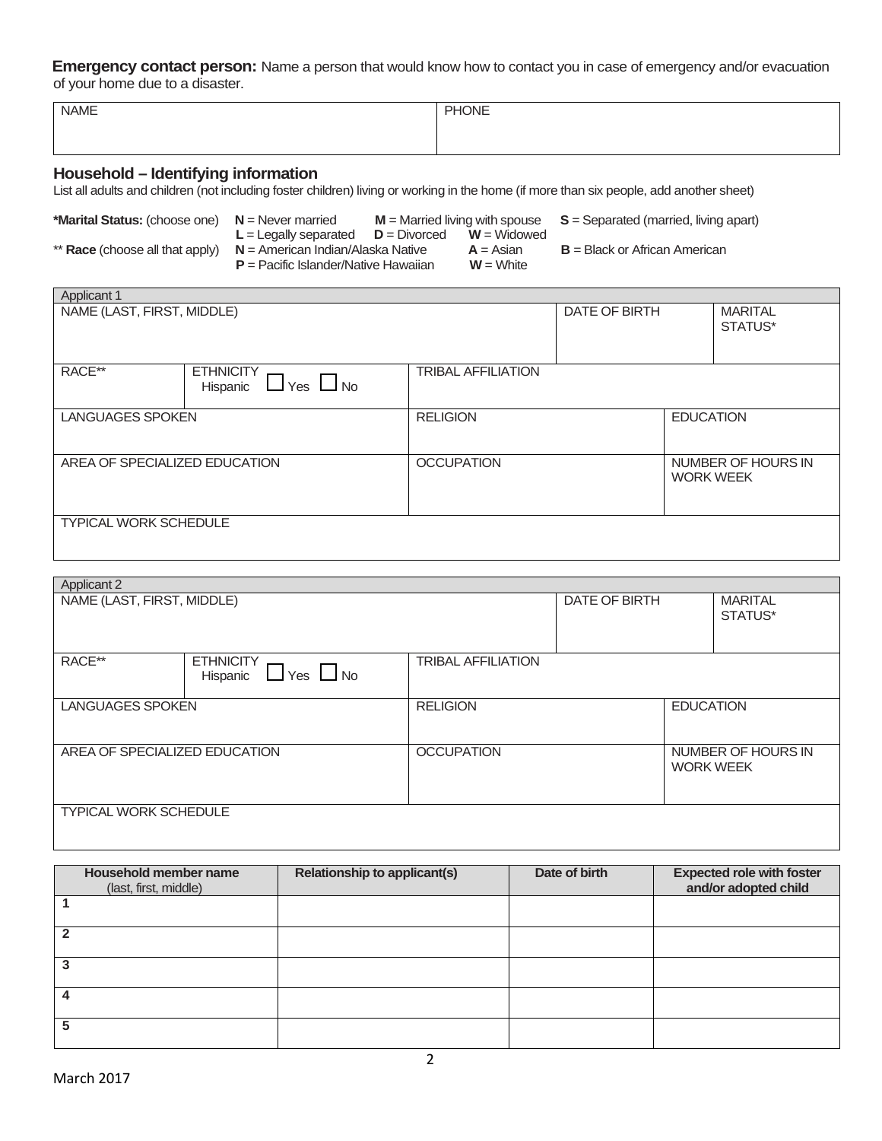**Emergency contact person:** Name a person that would know how to contact you in case of emergency and/or evacuation of your home due to a disaster.

| <b>NAME</b> | PHONE |
|-------------|-------|
|             |       |
|             |       |

### **Household – Identifying information**

п

List all adults and children (not including foster children) living or working in the home (if more than six people, add another sheet)

|                                        |                                        | $M =$ Married living with spouse | $S =$ Separated (married, living apart) |
|----------------------------------------|----------------------------------------|----------------------------------|-----------------------------------------|
|                                        | $L =$ Legally separated $D =$ Divorced | $W =$ Widowed                    |                                         |
| ** <b>Race</b> (choose all that apply) | $N =$ American Indian/Alaska Native    | $A = Asian$                      | $B = Black$ or African American         |
|                                        | $P =$ Pacific Islander/Native Hawaiian | $W =$ White                      |                                         |

| <b>Applicant 1</b>            |                                                      |                           |               |                  |                           |
|-------------------------------|------------------------------------------------------|---------------------------|---------------|------------------|---------------------------|
| NAME (LAST, FIRST, MIDDLE)    |                                                      |                           | DATE OF BIRTH |                  | <b>MARITAL</b><br>STATUS* |
| RACE**                        | <b>ETHNICITY</b><br>$\Box$ Yes $\Box$ No<br>Hispanic | <b>TRIBAL AFFILIATION</b> |               |                  |                           |
| <b>LANGUAGES SPOKEN</b>       |                                                      | <b>RELIGION</b>           |               | <b>EDUCATION</b> |                           |
| AREA OF SPECIALIZED EDUCATION |                                                      | <b>OCCUPATION</b>         |               | <b>WORK WEEK</b> | NUMBER OF HOURS IN        |
| TYPICAL WORK SCHEDULE         |                                                      |                           |               |                  |                           |

| <b>Applicant 2</b>            |                                                      |                           |  |                           |                    |
|-------------------------------|------------------------------------------------------|---------------------------|--|---------------------------|--------------------|
| NAME (LAST, FIRST, MIDDLE)    |                                                      | DATE OF BIRTH             |  | <b>MARITAL</b><br>STATUS* |                    |
| RACE**                        | <b>ETHNICITY</b><br>$\Box$ Yes $\Box$ No<br>Hispanic | <b>TRIBAL AFFILIATION</b> |  |                           |                    |
| <b>LANGUAGES SPOKEN</b>       |                                                      | <b>RELIGION</b>           |  | <b>EDUCATION</b>          |                    |
| AREA OF SPECIALIZED EDUCATION |                                                      | <b>OCCUPATION</b>         |  | <b>WORK WEEK</b>          | NUMBER OF HOURS IN |
| <b>TYPICAL WORK SCHEDULE</b>  |                                                      |                           |  |                           |                    |

| Household member name<br>(last, first, middle) | <b>Relationship to applicant(s)</b> | Date of birth | <b>Expected role with foster</b><br>and/or adopted child |
|------------------------------------------------|-------------------------------------|---------------|----------------------------------------------------------|
|                                                |                                     |               |                                                          |
|                                                |                                     |               |                                                          |
|                                                |                                     |               |                                                          |
|                                                |                                     |               |                                                          |
| 5                                              |                                     |               |                                                          |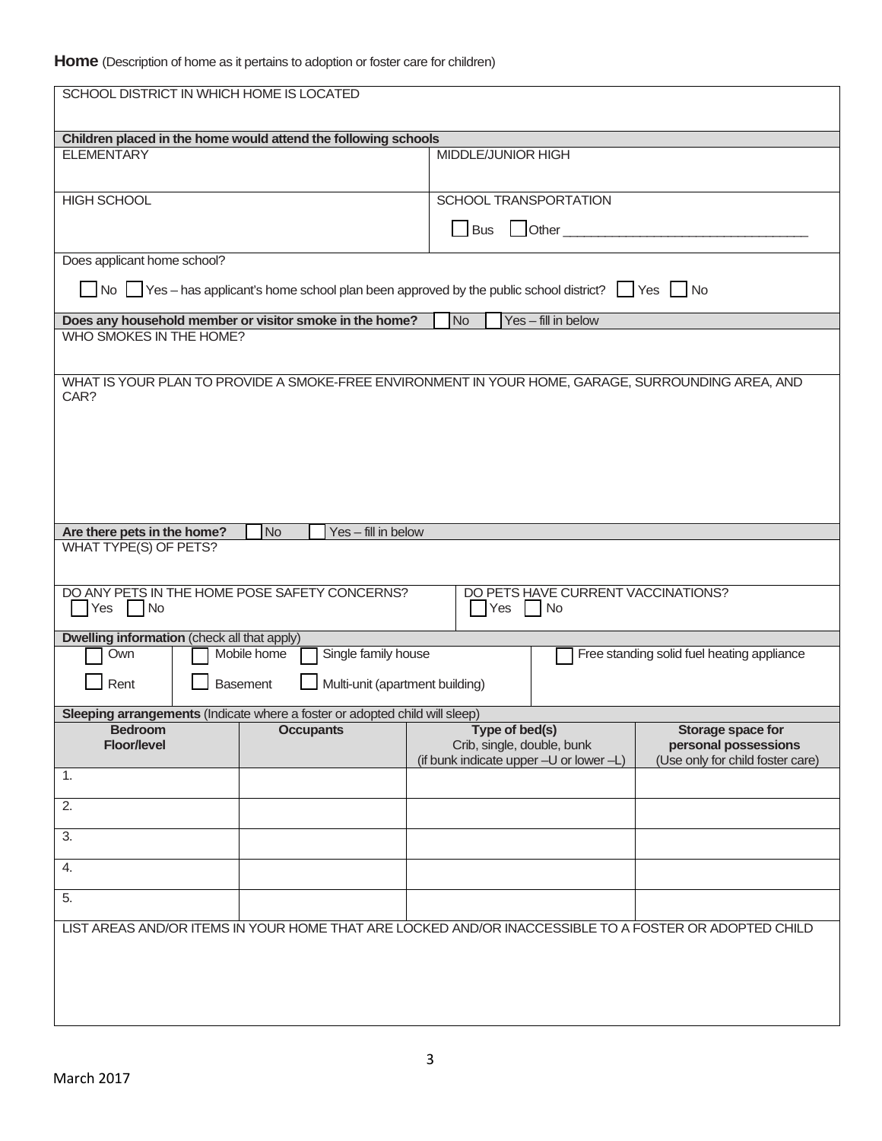|                                                    | SCHOOL DISTRICT IN WHICH HOME IS LOCATED                                                                                  |                                         |                                    |                                            |
|----------------------------------------------------|---------------------------------------------------------------------------------------------------------------------------|-----------------------------------------|------------------------------------|--------------------------------------------|
|                                                    |                                                                                                                           |                                         |                                    |                                            |
|                                                    | Children placed in the home would attend the following schools                                                            |                                         |                                    |                                            |
| <b>ELEMENTARY</b>                                  |                                                                                                                           | MIDDLE/JUNIOR HIGH                      |                                    |                                            |
| <b>HIGH SCHOOL</b>                                 |                                                                                                                           | SCHOOL TRANSPORTATION                   |                                    |                                            |
|                                                    |                                                                                                                           | <b>Bus</b>                              |                                    |                                            |
| Does applicant home school?                        |                                                                                                                           |                                         |                                    |                                            |
|                                                    | $\Box$ No $\Box$ Yes – has applicant's home school plan been approved by the public school district? $\Box$ Yes $\Box$ No |                                         |                                    |                                            |
|                                                    | Does any household member or visitor smoke in the home?                                                                   | No                                      | Yes - fill in below                |                                            |
| WHO SMOKES IN THE HOME?                            |                                                                                                                           |                                         |                                    |                                            |
| CAR?                                               | WHAT IS YOUR PLAN TO PROVIDE A SMOKE-FREE ENVIRONMENT IN YOUR HOME, GARAGE, SURROUNDING AREA, AND                         |                                         |                                    |                                            |
|                                                    |                                                                                                                           |                                         |                                    |                                            |
|                                                    |                                                                                                                           |                                         |                                    |                                            |
|                                                    |                                                                                                                           |                                         |                                    |                                            |
|                                                    |                                                                                                                           |                                         |                                    |                                            |
|                                                    |                                                                                                                           |                                         |                                    |                                            |
| Are there pets in the home?                        | <b>No</b><br>Yes - fill in below                                                                                          |                                         |                                    |                                            |
| <b>WHAT TYPE(S) OF PETS?</b>                       |                                                                                                                           |                                         |                                    |                                            |
|                                                    |                                                                                                                           |                                         |                                    |                                            |
|                                                    | DO ANY PETS IN THE HOME POSE SAFETY CONCERNS?                                                                             |                                         | DO PETS HAVE CURRENT VACCINATIONS? |                                            |
| Yes   No                                           |                                                                                                                           | Yes   No                                |                                    |                                            |
| <b>Dwelling information</b> (check all that apply) |                                                                                                                           |                                         |                                    |                                            |
| Own                                                | Single family house<br>Mobile home                                                                                        |                                         |                                    | Free standing solid fuel heating appliance |
| Rent                                               | Multi-unit (apartment building)<br><b>Basement</b>                                                                        |                                         |                                    |                                            |
|                                                    |                                                                                                                           |                                         |                                    |                                            |
|                                                    | Sleeping arrangements (Indicate where a foster or adopted child will sleep)<br>Bedroom <b>CCCUPARTS</b>                   | Type of bed(s)                          |                                    | Storage space for                          |
| <b>Floor/level</b>                                 |                                                                                                                           | Crib, single, double, bunk              |                                    | personal possessions                       |
| 1.                                                 |                                                                                                                           | (if bunk indicate upper -U or lower -L) |                                    | (Use only for child foster care)           |
| $\overline{2}$ .                                   |                                                                                                                           |                                         |                                    |                                            |
| 3.                                                 |                                                                                                                           |                                         |                                    |                                            |
| 4.                                                 |                                                                                                                           |                                         |                                    |                                            |
| 5.                                                 |                                                                                                                           |                                         |                                    |                                            |
|                                                    |                                                                                                                           |                                         |                                    |                                            |
|                                                    | LIST AREAS AND/OR ITEMS IN YOUR HOME THAT ARE LOCKED AND/OR INACCESSIBLE TO A FOSTER OR ADOPTED CHILD                     |                                         |                                    |                                            |
|                                                    |                                                                                                                           |                                         |                                    |                                            |
|                                                    |                                                                                                                           |                                         |                                    |                                            |
|                                                    |                                                                                                                           |                                         |                                    |                                            |
|                                                    |                                                                                                                           |                                         |                                    |                                            |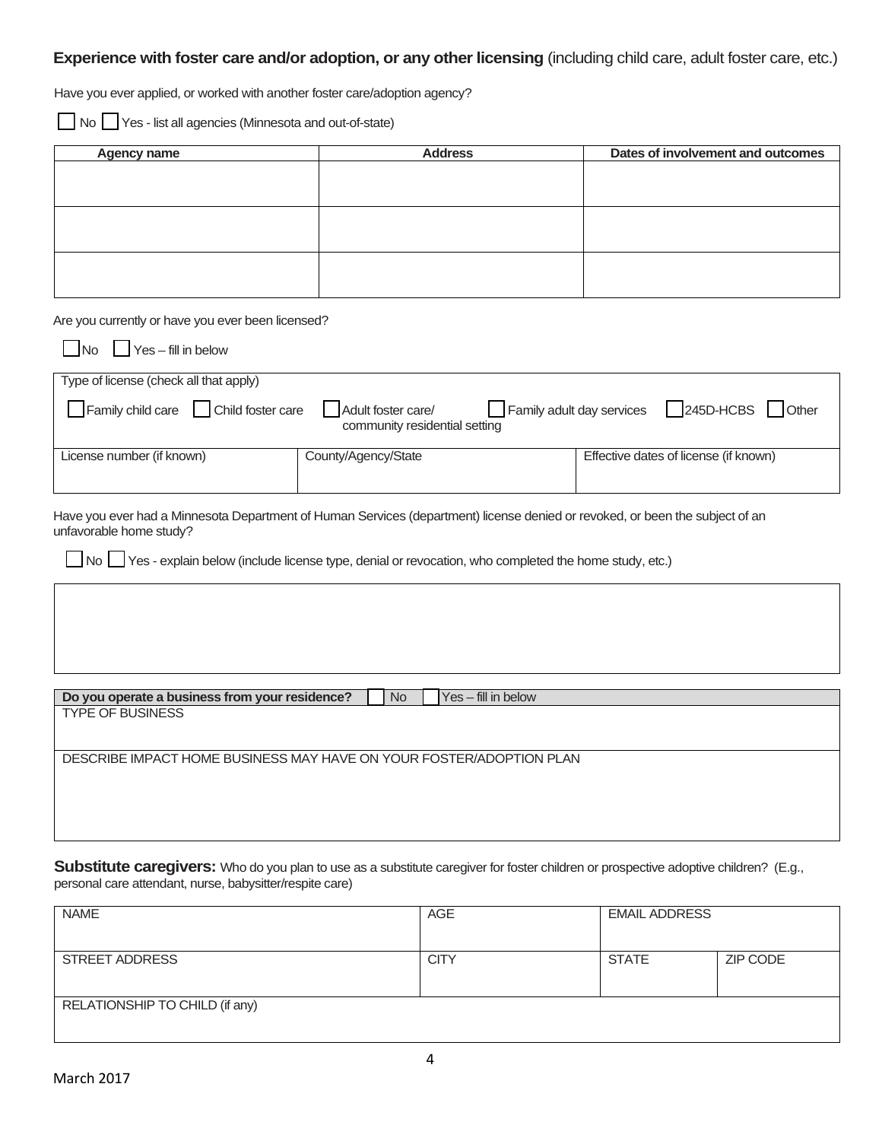#### **Experience with foster care and/or adoption, or any other licensing** (including child care, adult foster care, etc.)

Have you ever applied, or worked with another foster care/adoption agency?

No Yes - list all agencies (Minnesota and out-of-state)

| Agency name | <b>Address</b> | Dates of involvement and outcomes |
|-------------|----------------|-----------------------------------|
|             |                |                                   |
|             |                |                                   |
|             |                |                                   |
|             |                |                                   |
|             |                |                                   |
|             |                |                                   |
|             |                |                                   |
|             |                |                                   |

Are you currently or have you ever been licensed?

| $\Box$ No $\Box$ Yes - fill in below   |                                                     |                                               |                                       |
|----------------------------------------|-----------------------------------------------------|-----------------------------------------------|---------------------------------------|
| Type of license (check all that apply) |                                                     |                                               |                                       |
| Family child care   Child foster care  | Adult foster care/<br>community residential setting | Family adult day services   245D-HCBS   Other |                                       |
| License number (if known)              | County/Agency/State                                 |                                               | Effective dates of license (if known) |
|                                        |                                                     |                                               |                                       |

Have you ever had a Minnesota Department of Human Services (department) license denied or revoked, or been the subject of an unfavorable home study?

No I Yes - explain below (include license type, denial or revocation, who completed the home study, etc.)

| Do you operate a business from your residence?                      | <b>No</b> | $Yes$ – fill in below |
|---------------------------------------------------------------------|-----------|-----------------------|
| <b>TYPE OF BUSINESS</b>                                             |           |                       |
|                                                                     |           |                       |
| DESCRIBE IMPACT HOME BUSINESS MAY HAVE ON YOUR FOSTER/ADOPTION PLAN |           |                       |
|                                                                     |           |                       |
|                                                                     |           |                       |
|                                                                     |           |                       |
|                                                                     |           |                       |

**Substitute caregivers:** Who do you plan to use as a substitute caregiver for foster children or prospective adoptive children? (E.g., personal care attendant, nurse, babysitter/respite care)

| <b>NAME</b>                    | <b>AGE</b>  | <b>EMAIL ADDRESS</b> |          |
|--------------------------------|-------------|----------------------|----------|
|                                |             |                      |          |
| STREET ADDRESS                 | <b>CITY</b> | <b>STATE</b>         | ZIP CODE |
|                                |             |                      |          |
| RELATIONSHIP TO CHILD (if any) |             |                      |          |
|                                |             |                      |          |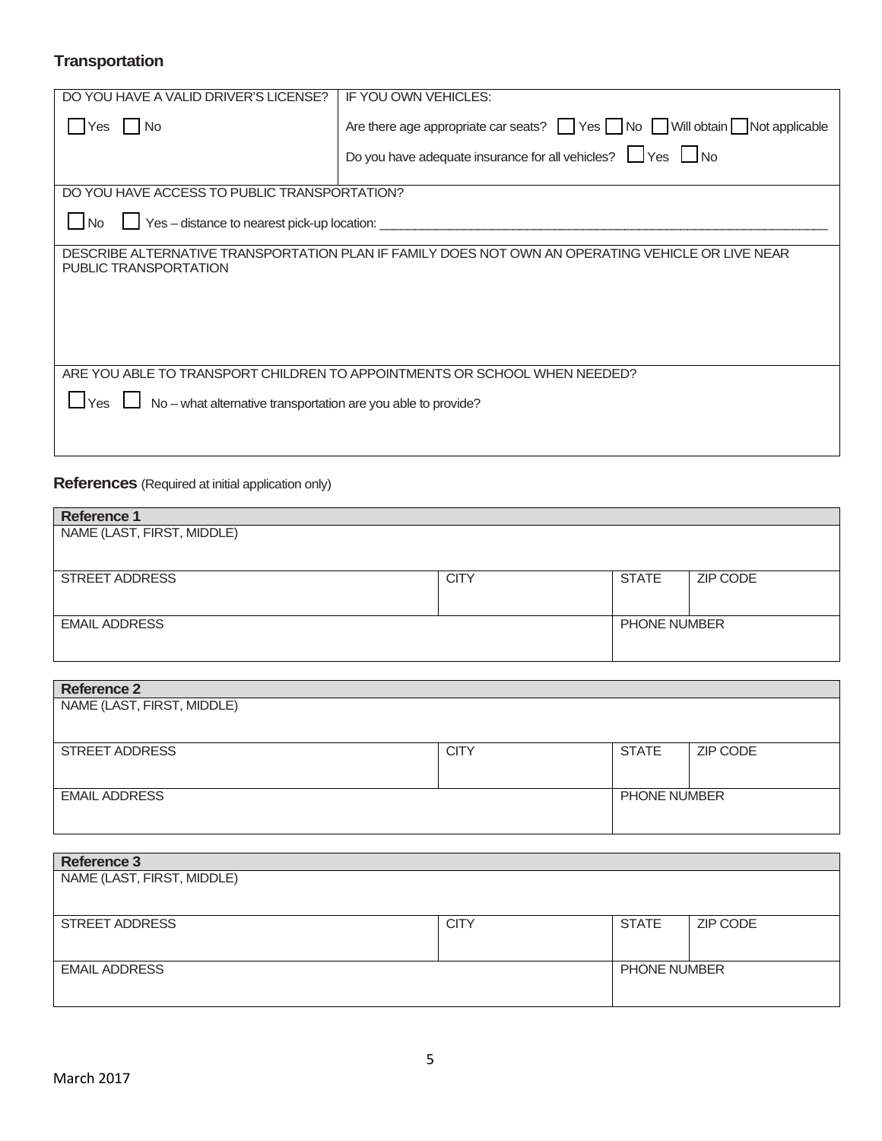# **Transportation**

| DO YOU HAVE A VALID DRIVER'S LICENSE?                                       | IF YOU OWN VEHICLES:                                                                               |  |
|-----------------------------------------------------------------------------|----------------------------------------------------------------------------------------------------|--|
| No.<br>Yes                                                                  | Are there age appropriate car seats? $\Box$ Yes $\Box$ No $\Box$ Will obtain $\Box$ Not applicable |  |
|                                                                             | Do you have adequate insurance for all vehicles? $\Box$ Yes $\Box$ No                              |  |
| DO YOU HAVE ACCESS TO PUBLIC TRANSPORTATION?                                |                                                                                                    |  |
|                                                                             |                                                                                                    |  |
| Yes - distance to nearest pick-up location:<br>l No                         |                                                                                                    |  |
|                                                                             |                                                                                                    |  |
|                                                                             | DESCRIBE ALTERNATIVE TRANSPORTATION PLAN IF FAMILY DOES NOT OWN AN OPERATING VEHICLE OR LIVE NEAR  |  |
| PUBLIC TRANSPORTATION                                                       |                                                                                                    |  |
|                                                                             |                                                                                                    |  |
|                                                                             |                                                                                                    |  |
|                                                                             |                                                                                                    |  |
|                                                                             |                                                                                                    |  |
|                                                                             |                                                                                                    |  |
| ARE YOU ABLE TO TRANSPORT CHILDREN TO APPOINTMENTS OR SCHOOL WHEN NEEDED?   |                                                                                                    |  |
| $\Box$ No – what alternative transportation are you able to provide?<br>Yes |                                                                                                    |  |
|                                                                             |                                                                                                    |  |
|                                                                             |                                                                                                    |  |
|                                                                             |                                                                                                    |  |

# **References** (Required at initial application only)

| <b>Reference 1</b>         |             |                     |          |
|----------------------------|-------------|---------------------|----------|
| NAME (LAST, FIRST, MIDDLE) |             |                     |          |
|                            |             |                     |          |
|                            |             |                     |          |
| <b>STREET ADDRESS</b>      | <b>CITY</b> | <b>STATE</b>        | ZIP CODE |
|                            |             |                     |          |
|                            |             |                     |          |
| <b>EMAIL ADDRESS</b>       |             | <b>PHONE NUMBER</b> |          |
|                            |             |                     |          |
|                            |             |                     |          |

| <b>Reference 2</b>         |             |                     |          |
|----------------------------|-------------|---------------------|----------|
| NAME (LAST, FIRST, MIDDLE) |             |                     |          |
|                            |             |                     |          |
| <b>STREET ADDRESS</b>      | <b>CITY</b> | <b>STATE</b>        | ZIP CODE |
|                            |             |                     |          |
| <b>EMAIL ADDRESS</b>       |             | <b>PHONE NUMBER</b> |          |
|                            |             |                     |          |

| <b>Reference 3</b>         |             |                     |          |
|----------------------------|-------------|---------------------|----------|
| NAME (LAST, FIRST, MIDDLE) |             |                     |          |
|                            |             |                     |          |
| <b>STREET ADDRESS</b>      | <b>CITY</b> | <b>STATE</b>        | ZIP CODE |
|                            |             |                     |          |
| <b>EMAIL ADDRESS</b>       |             | <b>PHONE NUMBER</b> |          |
|                            |             |                     |          |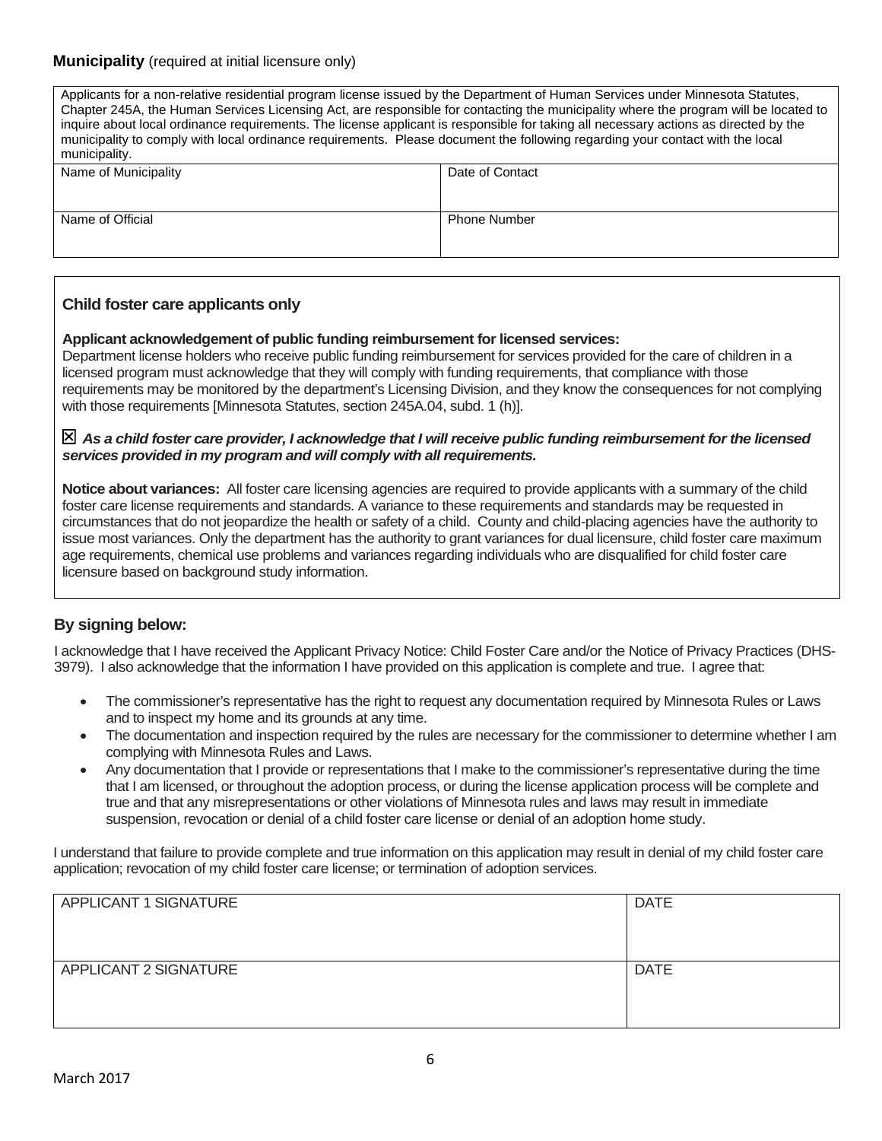#### **Municipality** (required at initial licensure only)

| Applicants for a non-relative residential program license issued by the Department of Human Services under Minnesota Statutes,<br>Chapter 245A, the Human Services Licensing Act, are responsible for contacting the municipality where the program will be located to<br>inquire about local ordinance requirements. The license applicant is responsible for taking all necessary actions as directed by the<br>municipality to comply with local ordinance requirements. Please document the following regarding your contact with the local<br>municipality. |                     |  |
|------------------------------------------------------------------------------------------------------------------------------------------------------------------------------------------------------------------------------------------------------------------------------------------------------------------------------------------------------------------------------------------------------------------------------------------------------------------------------------------------------------------------------------------------------------------|---------------------|--|
| Name of Municipality                                                                                                                                                                                                                                                                                                                                                                                                                                                                                                                                             | Date of Contact     |  |
|                                                                                                                                                                                                                                                                                                                                                                                                                                                                                                                                                                  |                     |  |
| Name of Official                                                                                                                                                                                                                                                                                                                                                                                                                                                                                                                                                 | <b>Phone Number</b> |  |
|                                                                                                                                                                                                                                                                                                                                                                                                                                                                                                                                                                  |                     |  |
|                                                                                                                                                                                                                                                                                                                                                                                                                                                                                                                                                                  |                     |  |

#### **Child foster care applicants only**

#### **Applicant acknowledgement of public funding reimbursement for licensed services:**

Department license holders who receive public funding reimbursement for services provided for the care of children in a licensed program must acknowledge that they will comply with funding requirements, that compliance with those requirements may be monitored by the department's Licensing Division, and they know the consequences for not complying with those requirements [Minnesota Statutes, section 245A.04, subd. 1 (h)].

#### *As a child foster care provider, I acknowledge that I will receive public funding reimbursement for the licensed services provided in my program and will comply with all requirements.*

**Notice about variances:** All foster care licensing agencies are required to provide applicants with a summary of the child foster care license requirements and standards. A variance to these requirements and standards may be requested in circumstances that do not jeopardize the health or safety of a child. County and child-placing agencies have the authority to issue most variances. Only the department has the authority to grant variances for dual licensure, child foster care maximum age requirements, chemical use problems and variances regarding individuals who are disqualified for child foster care licensure based on background study information.

#### **By signing below:**

I acknowledge that I have received the Applicant Privacy Notice: Child Foster Care and/or the Notice of Privacy Practices (DHS-3979). I also acknowledge that the information I have provided on this application is complete and true. I agree that:

- The commissioner's representative has the right to request any documentation required by Minnesota Rules or Laws and to inspect my home and its grounds at any time.
- The documentation and inspection required by the rules are necessary for the commissioner to determine whether I am complying with Minnesota Rules and Laws.
- Any documentation that I provide or representations that I make to the commissioner's representative during the time that I am licensed, or throughout the adoption process, or during the license application process will be complete and true and that any misrepresentations or other violations of Minnesota rules and laws may result in immediate suspension, revocation or denial of a child foster care license or denial of an adoption home study.

I understand that failure to provide complete and true information on this application may result in denial of my child foster care application; revocation of my child foster care license; or termination of adoption services.

| APPLICANT 1 SIGNATURE | <b>DATE</b> |
|-----------------------|-------------|
| APPLICANT 2 SIGNATURE | DATE        |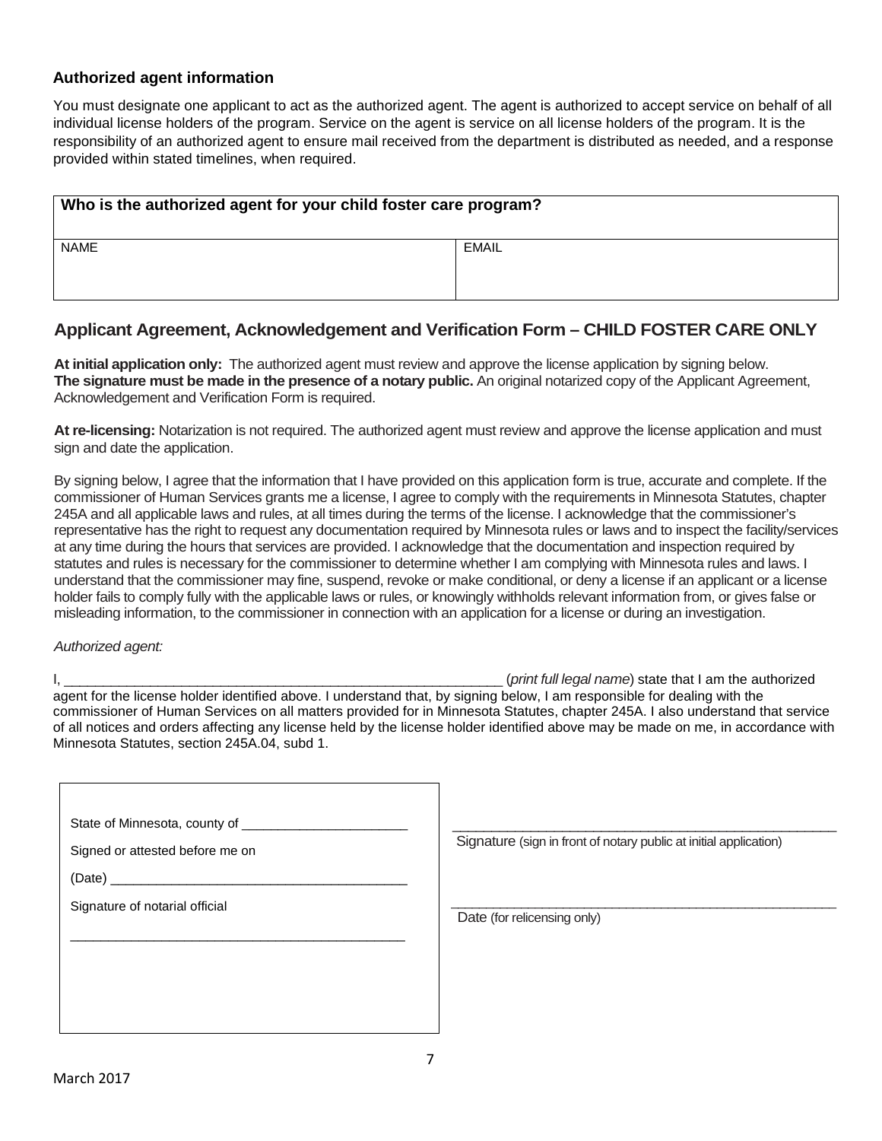#### **Authorized agent information**

You must designate one applicant to act as the authorized agent. The agent is authorized to accept service on behalf of all individual license holders of the program. Service on the agent is service on all license holders of the program. It is the responsibility of an authorized agent to ensure mail received from the department is distributed as needed, and a response provided within stated timelines, when required.

| Who is the authorized agent for your child foster care program? |              |
|-----------------------------------------------------------------|--------------|
| <b>NAME</b>                                                     | <b>EMAIL</b> |
|                                                                 |              |

# **Applicant Agreement, Acknowledgement and Verification Form – CHILD FOSTER CARE ONLY**

**At initial application only:** The authorized agent must review and approve the license application by signing below. **The signature must be made in the presence of a notary public.** An original notarized copy of the Applicant Agreement, Acknowledgement and Verification Form is required.

**At re-licensing:** Notarization is not required. The authorized agent must review and approve the license application and must sign and date the application.

By signing below, I agree that the information that I have provided on this application form is true, accurate and complete. If the commissioner of Human Services grants me a license, I agree to comply with the requirements in Minnesota Statutes, chapter 245A and all applicable laws and rules, at all times during the terms of the license. I acknowledge that the commissioner's representative has the right to request any documentation required by Minnesota rules or laws and to inspect the facility/services at any time during the hours that services are provided. I acknowledge that the documentation and inspection required by statutes and rules is necessary for the commissioner to determine whether I am complying with Minnesota rules and laws. I understand that the commissioner may fine, suspend, revoke or make conditional, or deny a license if an applicant or a license holder fails to comply fully with the applicable laws or rules, or knowingly withholds relevant information from, or gives false or misleading information, to the commissioner in connection with an application for a license or during an investigation.

#### *Authorized agent:*

I, \_\_\_\_\_\_\_\_\_\_\_\_\_\_\_\_\_\_\_\_\_\_\_\_\_\_\_\_\_\_\_\_\_\_\_\_\_\_\_\_\_\_\_\_\_\_\_\_\_\_\_\_\_\_\_\_ (*print full legal name*) state that I am the authorized agent for the license holder identified above. I understand that, by signing below, I am responsible for dealing with the commissioner of Human Services on all matters provided for in Minnesota Statutes, chapter 245A. I also understand that service of all notices and orders affecting any license held by the license holder identified above may be made on me, in accordance with Minnesota Statutes, section 245A.04, subd 1.

| State of Minnesota, county of __<br>Signed or attested before me on<br>(Date)<br>Signature of notarial official | Signature (sign in front of notary public at initial application)<br>Date (for relicensing only) |
|-----------------------------------------------------------------------------------------------------------------|--------------------------------------------------------------------------------------------------|
|                                                                                                                 |                                                                                                  |